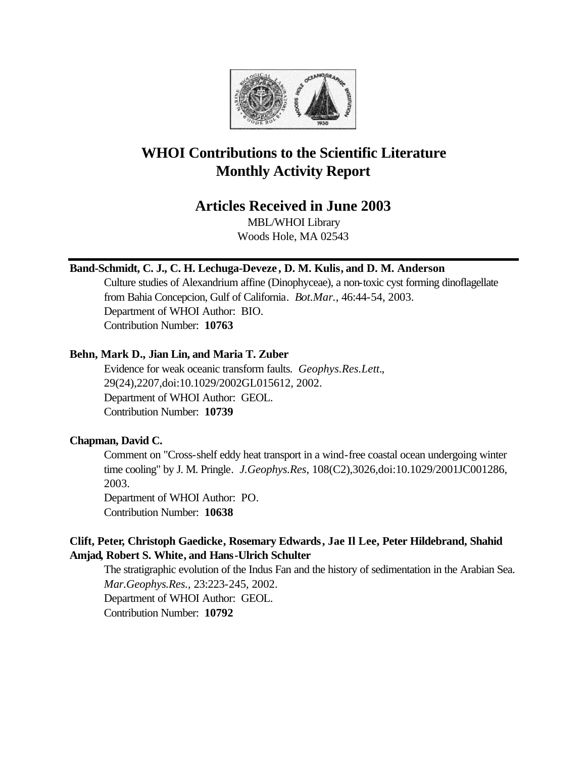

# **WHOI Contributions to the Scientific Literature Monthly Activity Report**

# **Articles Received in June 2003**

MBL/WHOI Library Woods Hole, MA 02543

# **Band-Schmidt, C. J., C. H. Lechuga-Deveze , D. M. Kulis, and D. M. Anderson**

Culture studies of Alexandrium affine (Dinophyceae), a non-toxic cyst forming dinoflagellate from Bahia Concepcion, Gulf of California. *Bot.Mar.*, 46:44-54, 2003. Department of WHOI Author: BIO. Contribution Number: **10763**

# **Behn, Mark D., Jian Lin, and Maria T. Zuber**

Evidence for weak oceanic transform faults. *Geophys.Res.Lett.*, 29(24),2207,doi:10.1029/2002GL015612, 2002. Department of WHOI Author: GEOL. Contribution Number: **10739**

# **Chapman, David C.**

Comment on "Cross-shelf eddy heat transport in a wind-free coastal ocean undergoing winter time cooling" by J. M. Pringle. *J.Geophys.Res*, 108(C2),3026,doi:10.1029/2001JC001286, 2003.

Department of WHOI Author: PO. Contribution Number: **10638**

# **Clift, Peter, Christoph Gaedicke, Rosemary Edwards, Jae Il Lee, Peter Hildebrand, Shahid Amjad, Robert S. White, and Hans-Ulrich Schulter**

The stratigraphic evolution of the Indus Fan and the history of sedimentation in the Arabian Sea. *Mar.Geophys.Res.*, 23:223-245, 2002.

Department of WHOI Author: GEOL. Contribution Number: **10792**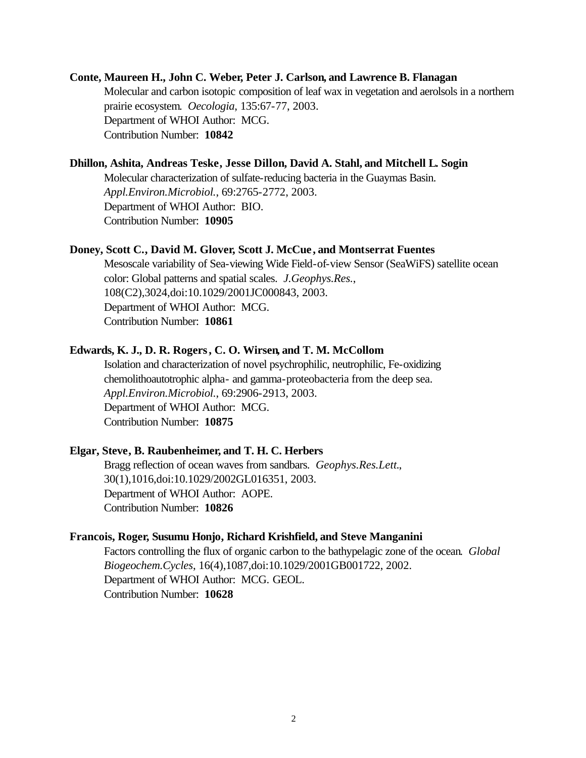### **Conte, Maureen H., John C. Weber, Peter J. Carlson, and Lawrence B. Flanagan**

Molecular and carbon isotopic composition of leaf wax in vegetation and aerolsols in a northern prairie ecosystem. *Oecologia*, 135:67-77, 2003. Department of WHOI Author: MCG. Contribution Number: **10842**

# **Dhillon, Ashita, Andreas Teske, Jesse Dillon, David A. Stahl, and Mitchell L. Sogin**

Molecular characterization of sulfate-reducing bacteria in the Guaymas Basin. *Appl.Environ.Microbiol.*, 69:2765-2772, 2003. Department of WHOI Author: BIO. Contribution Number: **10905**

# **Doney, Scott C., David M. Glover, Scott J. McCue , and Montserrat Fuentes**

Mesoscale variability of Sea-viewing Wide Field-of-view Sensor (SeaWiFS) satellite ocean color: Global patterns and spatial scales. *J.Geophys.Res.*, 108(C2),3024,doi:10.1029/2001JC000843, 2003. Department of WHOI Author: MCG. Contribution Number: **10861**

# **Edwards, K. J., D. R. Rogers, C. O. Wirsen, and T. M. McCollom**

Isolation and characterization of novel psychrophilic, neutrophilic, Fe-oxidizing chemolithoautotrophic alpha- and gamma-proteobacteria from the deep sea. *Appl.Environ.Microbiol.*, 69:2906-2913, 2003. Department of WHOI Author: MCG. Contribution Number: **10875**

# **Elgar, Steve, B. Raubenheimer, and T. H. C. Herbers**

Bragg reflection of ocean waves from sandbars. *Geophys.Res.Lett.*, 30(1),1016,doi:10.1029/2002GL016351, 2003. Department of WHOI Author: AOPE. Contribution Number: **10826**

# **Francois, Roger, Susumu Honjo, Richard Krishfield, and Steve Manganini**

Factors controlling the flux of organic carbon to the bathypelagic zone of the ocean. *Global Biogeochem.Cycles*, 16(4),1087,doi:10.1029/2001GB001722, 2002. Department of WHOI Author: MCG. GEOL. Contribution Number: **10628**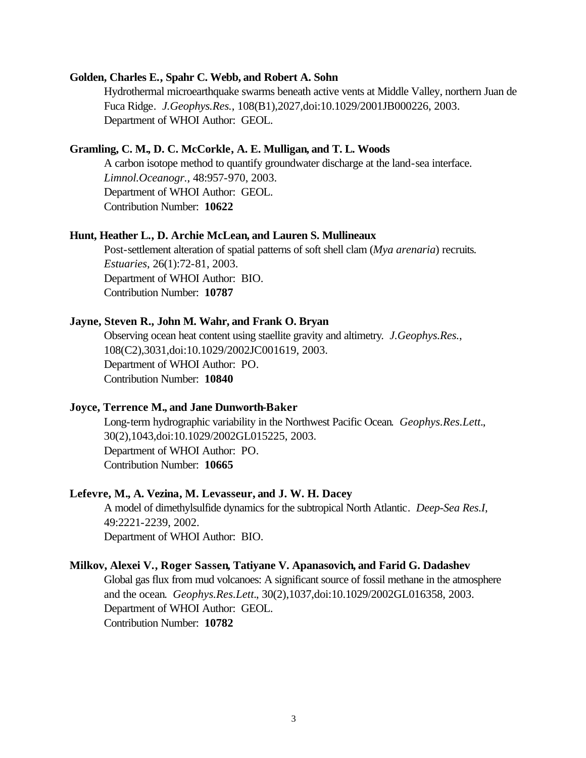# **Golden, Charles E., Spahr C. Webb, and Robert A. Sohn**

Hydrothermal microearthquake swarms beneath active vents at Middle Valley, northern Juan de Fuca Ridge. *J.Geophys.Res.*, 108(B1),2027,doi:10.1029/2001JB000226, 2003. Department of WHOI Author: GEOL.

# **Gramling, C. M., D. C. McCorkle, A. E. Mulligan, and T. L. Woods**

A carbon isotope method to quantify groundwater discharge at the land-sea interface. *Limnol.Oceanogr.*, 48:957-970, 2003. Department of WHOI Author: GEOL. Contribution Number: **10622**

#### **Hunt, Heather L., D. Archie McLean, and Lauren S. Mullineaux**

Post-settlement alteration of spatial patterns of soft shell clam (*Mya arenaria*) recruits. *Estuaries*, 26(1):72-81, 2003. Department of WHOI Author: BIO. Contribution Number: **10787**

# **Jayne, Steven R., John M. Wahr, and Frank O. Bryan**

Observing ocean heat content using staellite gravity and altimetry. *J.Geophys.Res.*, 108(C2),3031,doi:10.1029/2002JC001619, 2003. Department of WHOI Author: PO. Contribution Number: **10840**

# **Joyce, Terrence M., and Jane Dunworth-Baker**

Long-term hydrographic variability in the Northwest Pacific Ocean. *Geophys.Res.Lett.*, 30(2),1043,doi:10.1029/2002GL015225, 2003. Department of WHOI Author: PO. Contribution Number: **10665**

# **Lefevre, M., A. Vezina, M. Levasseur, and J. W. H. Dacey**

A model of dimethylsulfide dynamics for the subtropical North Atlantic. *Deep-Sea Res.I*, 49:2221-2239, 2002. Department of WHOI Author: BIO.

### **Milkov, Alexei V., Roger Sassen, Tatiyane V. Apanasovich, and Farid G. Dadashev**

Global gas flux from mud volcanoes: A significant source of fossil methane in the atmosphere and the ocean. *Geophys.Res.Lett.*, 30(2),1037,doi:10.1029/2002GL016358, 2003. Department of WHOI Author: GEOL. Contribution Number: **10782**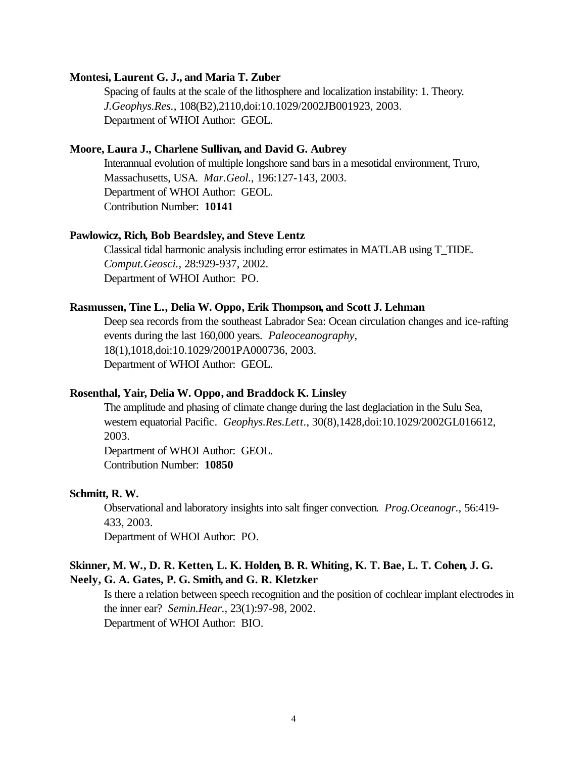#### **Montesi, Laurent G. J., and Maria T. Zuber**

Spacing of faults at the scale of the lithosphere and localization instability: 1. Theory. *J.Geophys.Res.*, 108(B2),2110,doi:10.1029/2002JB001923, 2003. Department of WHOI Author: GEOL.

# **Moore, Laura J., Charlene Sullivan, and David G. Aubrey**

Interannual evolution of multiple longshore sand bars in a mesotidal environment, Truro, Massachusetts, USA. *Mar.Geol.*, 196:127-143, 2003. Department of WHOI Author: GEOL. Contribution Number: **10141**

### **Pawlowicz, Rich, Bob Beardsley, and Steve Lentz**

Classical tidal harmonic analysis including error estimates in MATLAB using T\_TIDE. *Comput.Geosci.*, 28:929-937, 2002. Department of WHOI Author: PO.

### **Rasmussen, Tine L., Delia W. Oppo, Erik Thompson, and Scott J. Lehman**

Deep sea records from the southeast Labrador Sea: Ocean circulation changes and ice-rafting events during the last 160,000 years. *Paleoceanography*, 18(1),1018,doi:10.1029/2001PA000736, 2003. Department of WHOI Author: GEOL.

## **Rosenthal, Yair, Delia W. Oppo, and Braddock K. Linsley**

The amplitude and phasing of climate change during the last deglaciation in the Sulu Sea, western equatorial Pacific. *Geophys.Res.Lett.*, 30(8),1428,doi:10.1029/2002GL016612, 2003.

Department of WHOI Author: GEOL. Contribution Number: **10850**

#### **Schmitt, R. W.**

Observational and laboratory insights into salt finger convection. *Prog.Oceanogr.*, 56:419- 433, 2003. Department of WHOI Author: PO.

# **Skinner, M. W., D. R. Ketten, L. K. Holden, B. R. Whiting, K. T. Bae, L. T. Cohen, J. G. Neely, G. A. Gates, P. G. Smith, and G. R. Kletzker**

Is there a relation between speech recognition and the position of cochlear implant electrodes in the inner ear? *Semin.Hear.*, 23(1):97-98, 2002. Department of WHOI Author: BIO.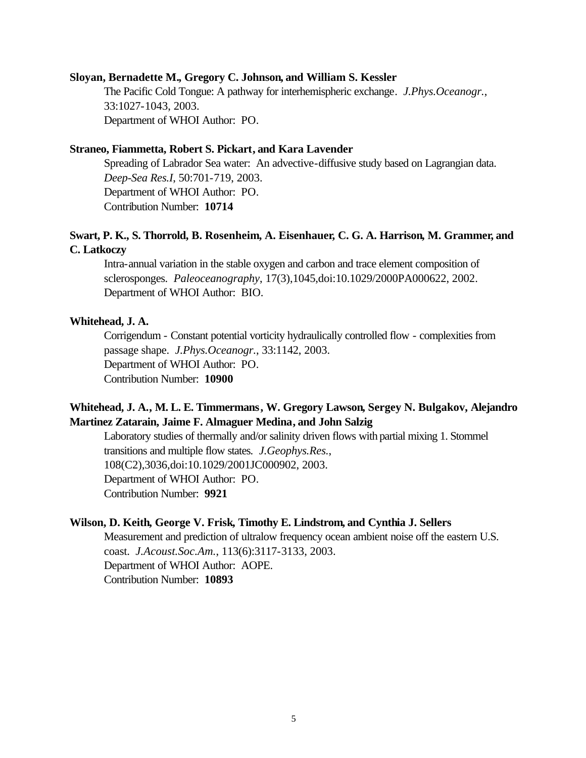# **Sloyan, Bernadette M., Gregory C. Johnson, and William S. Kessler**

The Pacific Cold Tongue: A pathway for interhemispheric exchange. *J.Phys.Oceanogr.*, 33:1027-1043, 2003. Department of WHOI Author: PO.

# **Straneo, Fiammetta, Robert S. Pickart, and Kara Lavender**

Spreading of Labrador Sea water: An advective-diffusive study based on Lagrangian data. *Deep-Sea Res.I*, 50:701-719, 2003. Department of WHOI Author: PO. Contribution Number: **10714**

# **Swart, P. K., S. Thorrold, B. Rosenheim, A. Eisenhauer, C. G. A. Harrison, M. Grammer, and C. Latkoczy**

Intra-annual variation in the stable oxygen and carbon and trace element composition of sclerosponges. *Paleoceanography*, 17(3),1045,doi:10.1029/2000PA000622, 2002. Department of WHOI Author: BIO.

## **Whitehead, J. A.**

Corrigendum - Constant potential vorticity hydraulically controlled flow - complexities from passage shape. *J.Phys.Oceanogr.*, 33:1142, 2003. Department of WHOI Author: PO. Contribution Number: **10900**

# **Whitehead, J. A., M. L. E. Timmermans, W. Gregory Lawson, Sergey N. Bulgakov, Alejandro Martinez Zatarain, Jaime F. Almaguer Medina, and John Salzig**

Laboratory studies of thermally and/or salinity driven flows with partial mixing 1. Stommel transitions and multiple flow states. *J.Geophys.Res.*, 108(C2),3036,doi:10.1029/2001JC000902, 2003. Department of WHOI Author: PO. Contribution Number: **9921**

## **Wilson, D. Keith, George V. Frisk, Timothy E. Lindstrom, and Cynthia J. Sellers**

Measurement and prediction of ultralow frequency ocean ambient noise off the eastern U.S. coast. *J.Acoust.Soc.Am.*, 113(6):3117-3133, 2003. Department of WHOI Author: AOPE. Contribution Number: **10893**